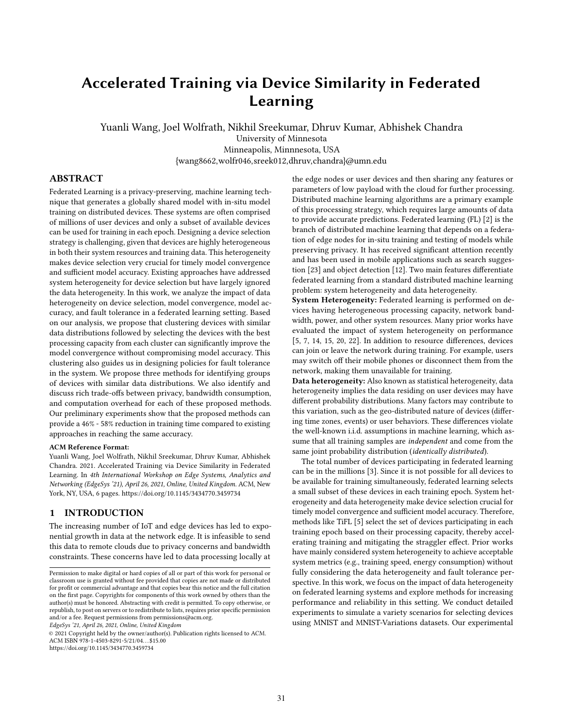# Accelerated Training via Device Similarity in Federated Learning

Yuanli Wang, Joel Wolfrath, Nikhil Sreekumar, Dhruv Kumar, Abhishek Chandra University of Minnesota Minneapolis, Minnnesota, USA {wang8662,wolfr046,sreek012,dhruv,chandra}@umn.edu

# ABSTRACT

Federated Learning is a privacy-preserving, machine learning technique that generates a globally shared model with in-situ model training on distributed devices. These systems are often comprised of millions of user devices and only a subset of available devices can be used for training in each epoch. Designing a device selection strategy is challenging, given that devices are highly heterogeneous in both their system resources and training data. This heterogeneity makes device selection very crucial for timely model convergence and sufficient model accuracy. Existing approaches have addressed system heterogeneity for device selection but have largely ignored the data heterogeneity. In this work, we analyze the impact of data heterogeneity on device selection, model convergence, model accuracy, and fault tolerance in a federated learning setting. Based on our analysis, we propose that clustering devices with similar data distributions followed by selecting the devices with the best processing capacity from each cluster can significantly improve the model convergence without compromising model accuracy. This clustering also guides us in designing policies for fault tolerance in the system. We propose three methods for identifying groups of devices with similar data distributions. We also identify and discuss rich trade-offs between privacy, bandwidth consumption, and computation overhead for each of these proposed methods. Our preliminary experiments show that the proposed methods can provide a 46% - 58% reduction in training time compared to existing approaches in reaching the same accuracy.

#### ACM Reference Format:

Yuanli Wang, Joel Wolfrath, Nikhil Sreekumar, Dhruv Kumar, Abhishek Chandra. 2021. Accelerated Training via Device Similarity in Federated Learning. In 4th International Workshop on Edge Systems, Analytics and Networking (EdgeSys '21), April 26, 2021, Online, United Kingdom. ACM, New York, NY, USA, [6](#page-5-0) pages.<https://doi.org/10.1145/3434770.3459734>

# <span id="page-0-0"></span>1 INTRODUCTION

The increasing number of IoT and edge devices has led to exponential growth in data at the network edge. It is infeasible to send this data to remote clouds due to privacy concerns and bandwidth constraints. These concerns have led to data processing locally at

EdgeSys '21, April 26, 2021, Online, United Kingdom

© 2021 Copyright held by the owner/author(s). Publication rights licensed to ACM. ACM ISBN 978-1-4503-8291-5/21/04. . . \$15.00 <https://doi.org/10.1145/3434770.3459734>

the edge nodes or user devices and then sharing any features or parameters of low payload with the cloud for further processing. Distributed machine learning algorithms are a primary example of this processing strategy, which requires large amounts of data to provide accurate predictions. Federated learning (FL) [\[2\]](#page-5-1) is the branch of distributed machine learning that depends on a federation of edge nodes for in-situ training and testing of models while preserving privacy. It has received significant attention recently and has been used in mobile applications such as search suggestion [\[23\]](#page-5-2) and object detection [\[12\]](#page-5-3). Two main features differentiate federated learning from a standard distributed machine learning problem: system heterogeneity and data heterogeneity.

System Heterogeneity: Federated learning is performed on devices having heterogeneous processing capacity, network bandwidth, power, and other system resources. Many prior works have evaluated the impact of system heterogeneity on performance [\[5,](#page-5-4) [7,](#page-5-5) [14,](#page-5-6) [15,](#page-5-7) [20,](#page-5-8) [22\]](#page-5-9). In addition to resource differences, devices can join or leave the network during training. For example, users may switch off their mobile phones or disconnect them from the network, making them unavailable for training.

Data heterogeneity: Also known as statistical heterogeneity, data heterogeneity implies the data residing on user devices may have different probability distributions. Many factors may contribute to this variation, such as the geo-distributed nature of devices (differing time zones, events) or user behaviors. These differences violate the well-known i.i.d. assumptions in machine learning, which assume that all training samples are independent and come from the same joint probability distribution (identically distributed).

The total number of devices participating in federated learning can be in the millions [\[3\]](#page-5-10). Since it is not possible for all devices to be available for training simultaneously, federated learning selects a small subset of these devices in each training epoch. System heterogeneity and data heterogeneity make device selection crucial for timely model convergence and sufficient model accuracy. Therefore, methods like TiFL [\[5\]](#page-5-4) select the set of devices participating in each training epoch based on their processing capacity, thereby accelerating training and mitigating the straggler effect. Prior works have mainly considered system heterogeneity to achieve acceptable system metrics (e.g., training speed, energy consumption) without fully considering the data heterogeneity and fault tolerance perspective. In this work, we focus on the impact of data heterogeneity on federated learning systems and explore methods for increasing performance and reliability in this setting. We conduct detailed experiments to simulate a variety scenarios for selecting devices using MNIST and MNIST-Variations datasets. Our experimental

Permission to make digital or hard copies of all or part of this work for personal or classroom use is granted without fee provided that copies are not made or distributed for profit or commercial advantage and that copies bear this notice and the full citation on the first page. Copyrights for components of this work owned by others than the author(s) must be honored. Abstracting with credit is permitted. To copy otherwise, or republish, to post on servers or to redistribute to lists, requires prior specific permission and/or a fee. Request permissions from permissions@acm.org.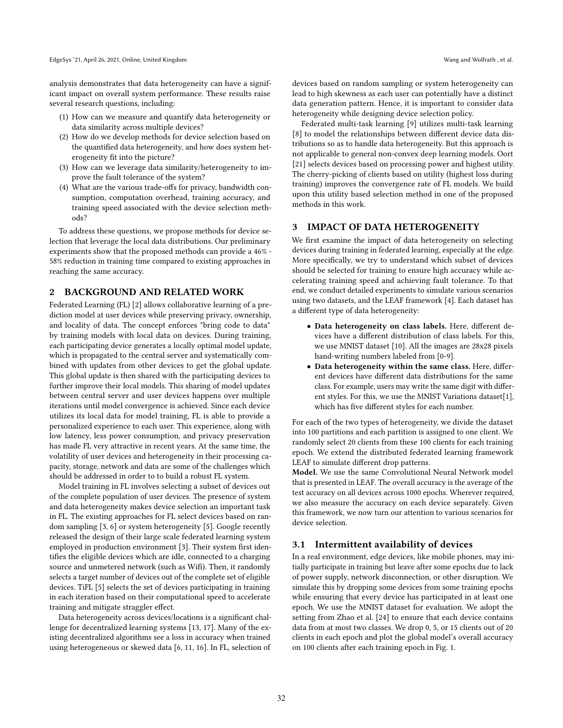analysis demonstrates that data heterogeneity can have a significant impact on overall system performance. These results raise several research questions, including:

- (1) How can we measure and quantify data heterogeneity or data similarity across multiple devices?
- (2) How do we develop methods for device selection based on the quantified data heterogeneity, and how does system heterogeneity fit into the picture?
- (3) How can we leverage data similarity/heterogeneity to improve the fault tolerance of the system?
- (4) What are the various trade-offs for privacy, bandwidth consumption, computation overhead, training accuracy, and training speed associated with the device selection methods?

To address these questions, we propose methods for device selection that leverage the local data distributions. Our preliminary experiments show that the proposed methods can provide a 46% - 58% reduction in training time compared to existing approaches in reaching the same accuracy.

#### 2 BACKGROUND AND RELATED WORK

Federated Learning (FL) [\[2\]](#page-5-1) allows collaborative learning of a prediction model at user devices while preserving privacy, ownership, and locality of data. The concept enforces "bring code to data" by training models with local data on devices. During training, each participating device generates a locally optimal model update, which is propagated to the central server and systematically combined with updates from other devices to get the global update. This global update is then shared with the participating devices to further improve their local models. This sharing of model updates between central server and user devices happens over multiple iterations until model convergence is achieved. Since each device utilizes its local data for model training, FL is able to provide a personalized experience to each user. This experience, along with low latency, less power consumption, and privacy preservation has made FL very attractive in recent years. At the same time, the volatility of user devices and heterogeneity in their processing capacity, storage, network and data are some of the challenges which should be addressed in order to to build a robust FL system.

Model training in FL involves selecting a subset of devices out of the complete population of user devices. The presence of system and data heterogeneity makes device selection an important task in FL. The existing approaches for FL select devices based on random sampling [\[3,](#page-5-10) [6\]](#page-5-11) or system heterogeneity [\[5\]](#page-5-4). Google recently released the design of their large scale federated learning system employed in production environment [\[3\]](#page-5-10). Their system first identifies the eligible devices which are idle, connected to a charging source and unmetered network (such as Wifi). Then, it randomly selects a target number of devices out of the complete set of eligible devices. TiFL [\[5\]](#page-5-4) selects the set of devices participating in training in each iteration based on their computational speed to accelerate training and mitigate straggler effect.

Data heterogeneity across devices/locations is a significant challenge for decentralized learning systems [\[13,](#page-5-12) [17\]](#page-5-13). Many of the existing decentralized algorithms see a loss in accuracy when trained using heterogeneous or skewed data [\[6,](#page-5-11) [11,](#page-5-14) [16\]](#page-5-15). In FL, selection of

devices based on random sampling or system heterogeneity can lead to high skewness as each user can potentially have a distinct data generation pattern. Hence, it is important to consider data heterogeneity while designing device selection policy.

Federated multi-task learning [\[9\]](#page-5-16) utilizes multi-task learning [\[8\]](#page-5-17) to model the relationships between different device data distributions so as to handle data heterogeneity. But this approach is not applicable to general non-convex deep learning models. Oort [\[21\]](#page-5-18) selects devices based on processing power and highest utility. The cherry-picking of clients based on utility (highest loss during training) improves the convergence rate of FL models. We build upon this utility based selection method in one of the proposed methods in this work.

# <span id="page-1-0"></span>3 IMPACT OF DATA HETEROGENEITY

We first examine the impact of data heterogeneity on selecting devices during training in federated learning, especially at the edge. More specifically, we try to understand which subset of devices should be selected for training to ensure high accuracy while accelerating training speed and achieving fault tolerance. To that end, we conduct detailed experiments to simulate various scenarios using two datasets, and the LEAF framework [\[4\]](#page-5-19). Each dataset has a different type of data heterogeneity:

- Data heterogeneity on class labels. Here, different devices have a different distribution of class labels. For this, we use MNIST dataset [\[10\]](#page-5-20). All the images are 28x28 pixels hand-writing numbers labeled from [0-9].
- Data heterogeneity within the same class. Here, different devices have different data distributions for the same class. For example, users may write the same digit with different styles. For this, we use the MNIST Variations dataset[\[1\]](#page-5-21), which has five different styles for each number.

For each of the two types of heterogeneity, we divide the dataset into 100 partitions and each partition is assigned to one client. We randomly select 20 clients from these 100 clients for each training epoch. We extend the distributed federated learning framework LEAF to simulate different drop patterns.

Model. We use the same Convolutional Neural Network model that is presented in LEAF. The overall accuracy is the average of the test accuracy on all devices across 1000 epochs. Wherever required, we also measure the accuracy on each device separately. Given this framework, we now turn our attention to various scenarios for device selection.

#### 3.1 Intermittent availability of devices

In a real environment, edge devices, like mobile phones, may initially participate in training but leave after some epochs due to lack of power supply, network disconnection, or other disruption. We simulate this by dropping some devices from some training epochs while ensuring that every device has participated in at least one epoch. We use the MNIST dataset for evaluation. We adopt the setting from Zhao et al. [\[24\]](#page-5-22) to ensure that each device contains data from at most two classes. We drop 0, 5, or 15 clients out of 20 clients in each epoch and plot the global model's overall accuracy on 100 clients after each training epoch in Fig. [1.](#page-2-0)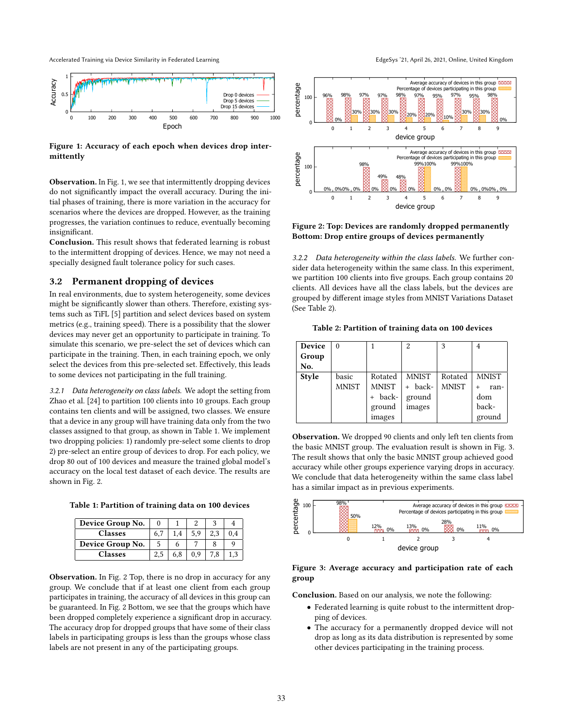Accelerated Training via Device Similarity in Federated Learning **EdgeSys** '21, April 26, 2021, Online, United Kingdom

<span id="page-2-0"></span>

Figure 1: Accuracy of each epoch when devices drop intermittently

Observation. In Fig. [1,](#page-2-0) we see that intermittently dropping devices do not significantly impact the overall accuracy. During the initial phases of training, there is more variation in the accuracy for scenarios where the devices are dropped. However, as the training progresses, the variation continues to reduce, eventually becoming insignificant.

Conclusion. This result shows that federated learning is robust to the intermittent dropping of devices. Hence, we may not need a specially designed fault tolerance policy for such cases.

#### 3.2 Permanent dropping of devices

In real environments, due to system heterogeneity, some devices might be significantly slower than others. Therefore, existing systems such as TiFL [\[5\]](#page-5-4) partition and select devices based on system metrics (e.g., training speed). There is a possibility that the slower devices may never get an opportunity to participate in training. To simulate this scenario, we pre-select the set of devices which can participate in the training. Then, in each training epoch, we only select the devices from this pre-selected set. Effectively, this leads to some devices not participating in the full training.

3.2.1 Data heterogeneity on class labels. We adopt the setting from Zhao et al. [\[24\]](#page-5-22) to partition 100 clients into 10 groups. Each group contains ten clients and will be assigned, two classes. We ensure that a device in any group will have training data only from the two classes assigned to that group, as shown in Table [1.](#page-2-1) We implement two dropping policies: 1) randomly pre-select some clients to drop 2) pre-select an entire group of devices to drop. For each policy, we drop 80 out of 100 devices and measure the trained global model's accuracy on the local test dataset of each device. The results are shown in Fig. [2.](#page-2-2)

<span id="page-2-1"></span>

|  | Table 1: Partition of training data on 100 devices |  |  |  |  |  |
|--|----------------------------------------------------|--|--|--|--|--|
|--|----------------------------------------------------|--|--|--|--|--|

| Device Group No. |     |     |     |  |
|------------------|-----|-----|-----|--|
| <b>Classes</b>   | 6.7 | 1.4 | 5.9 |  |
| Device Group No. |     |     |     |  |
| <b>Classes</b>   | 2,5 | 6,8 | 0.9 |  |

Observation. In Fig. [2](#page-2-2) Top, there is no drop in accuracy for any group. We conclude that if at least one client from each group participates in training, the accuracy of all devices in this group can be guaranteed. In Fig. [2](#page-2-2) Bottom, we see that the groups which have been dropped completely experience a significant drop in accuracy. The accuracy drop for dropped groups that have some of their class labels in participating groups is less than the groups whose class labels are not present in any of the participating groups.

<span id="page-2-2"></span>

Figure 2: Top: Devices are randomly dropped permanently Bottom: Drop entire groups of devices permanently

3.2.2 Data heterogeneity within the class labels. We further consider data heterogeneity within the same class. In this experiment, we partition 100 clients into five groups. Each group contains 20 clients. All devices have all the class labels, but the devices are grouped by different image styles from MNIST Variations Dataset (See Table [2\)](#page-2-3).

<span id="page-2-3"></span>Table 2: Partition of training data on 100 devices

| Device | $\Omega$     |              | $\overline{2}$ | 3            |              |
|--------|--------------|--------------|----------------|--------------|--------------|
| Group  |              |              |                |              |              |
| No.    |              |              |                |              |              |
| Style  | basic        | Rotated      | <b>MNIST</b>   | Rotated      | <b>MNIST</b> |
|        | <b>MNIST</b> | <b>MNIST</b> | + back-        | <b>MNIST</b> | ran-<br>$+$  |
|        |              | + back-      | ground         |              | dom          |
|        |              | ground       | images         |              | back-        |
|        |              | images       |                |              | ground       |

Observation. We dropped 90 clients and only left ten clients from the basic MNIST group. The evaluation result is shown in Fig. [3.](#page-2-4) The result shows that only the basic MNIST group achieved good accuracy while other groups experience varying drops in accuracy. We conclude that data heterogeneity within the same class label has a similar impact as in previous experiments.

<span id="page-2-4"></span>

#### Figure 3: Average accuracy and participation rate of each group

Conclusion. Based on our analysis, we note the following:

- Federated learning is quite robust to the intermittent dropping of devices.
- The accuracy for a permanently dropped device will not drop as long as its data distribution is represented by some other devices participating in the training process.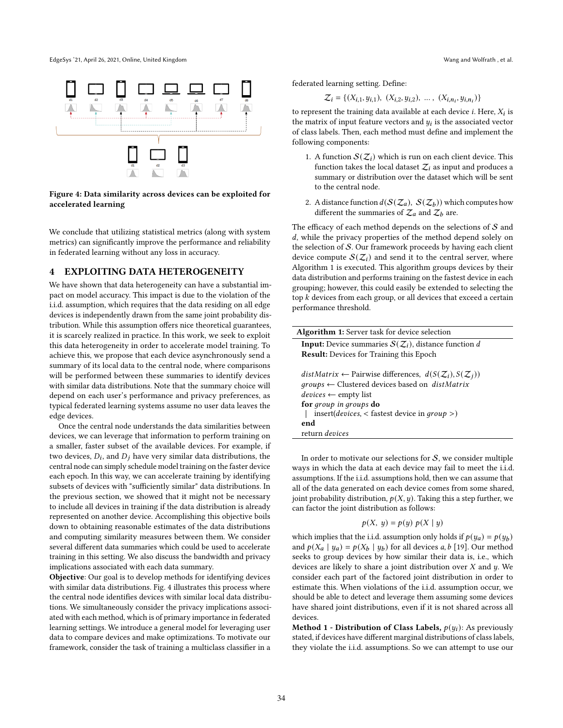EdgeSys '21, April 26, 2021, Online, United Kingdom Wang and Wolfrath , et al.

<span id="page-3-0"></span>

Figure 4: Data similarity across devices can be exploited for accelerated learning

We conclude that utilizing statistical metrics (along with system metrics) can significantly improve the performance and reliability in federated learning without any loss in accuracy.

# 4 EXPLOITING DATA HETEROGENEITY

We have shown that data heterogeneity can have a substantial impact on model accuracy. This impact is due to the violation of the i.i.d. assumption, which requires that the data residing on all edge devices is independently drawn from the same joint probability distribution. While this assumption offers nice theoretical guarantees, it is scarcely realized in practice. In this work, we seek to exploit this data heterogeneity in order to accelerate model training. To achieve this, we propose that each device asynchronously send a summary of its local data to the central node, where comparisons will be performed between these summaries to identify devices with similar data distributions. Note that the summary choice will depend on each user's performance and privacy preferences, as typical federated learning systems assume no user data leaves the edge devices.

Once the central node understands the data similarities between devices, we can leverage that information to perform training on a smaller, faster subset of the available devices. For example, if two devices,  $D_i$ , and  $D_j$  have very similar data distributions, the central node can simply schedule model training on the faster device each epoch. In this way, we can accelerate training by identifying subsets of devices with "sufficiently similar" data distributions. In the previous section, we showed that it might not be necessary to include all devices in training if the data distribution is already represented on another device. Accomplishing this objective boils down to obtaining reasonable estimates of the data distributions and computing similarity measures between them. We consider several different data summaries which could be used to accelerate training in this setting. We also discuss the bandwidth and privacy implications associated with each data summary.

Objective: Our goal is to develop methods for identifying devices with similar data distributions. Fig. [4](#page-3-0) illustrates this process where the central node identifies devices with similar local data distributions. We simultaneously consider the privacy implications associated with each method, which is of primary importance in federated learning settings. We introduce a general model for leveraging user data to compare devices and make optimizations. To motivate our framework, consider the task of training a multiclass classifier in a

federated learning setting. Define:

$$
\mathcal{Z}_i = \{ (X_{i,1}, y_{i,1}), (X_{i,2}, y_{i,2}), \dots, (X_{i,n_i}, y_{i,n_i}) \}
$$

to represent the training data available at each device *i*. Here,  $X_i$  is the matrix of input feature vectors and  $y_i$  is the associated vector of class labels. Then, each method must define and implement the following components:

- 1. A function  $\mathcal{S}(\mathcal{Z}_i)$  which is run on each client device. This function takes the local dataset  $Z_i$  as input and produces a summary or distribution over the dataset which will be sent to the central node.
- 2. A distance function  $d(S(\mathcal{Z}_a), S(\mathcal{Z}_b))$  which computes how different the summaries of  $\mathcal{Z}_a$  and  $\mathcal{Z}_b$  are.

The efficacy of each method depends on the selections of  $S$  and , while the privacy properties of the method depend solely on the selection of S. Our framework proceeds by having each client device compute  $\mathcal{S}(\mathcal{Z}_i)$  and send it to the central server, where Algorithm [1](#page-3-1) is executed. This algorithm groups devices by their data distribution and performs training on the fastest device in each grouping; however, this could easily be extended to selecting the top  $k$  devices from each group, or all devices that exceed a certain performance threshold.

| <b>Algorithm 1:</b> Server task for device selection                                                                                                                                                                                                                                                                                           |
|------------------------------------------------------------------------------------------------------------------------------------------------------------------------------------------------------------------------------------------------------------------------------------------------------------------------------------------------|
| <b>Input:</b> Device summaries $S(Z_i)$ , distance function d                                                                                                                                                                                                                                                                                  |
| <b>Result:</b> Devices for Training this Epoch                                                                                                                                                                                                                                                                                                 |
| distMatrix $\leftarrow$ Pairwise differences, $d(S(\mathcal{Z}_i), S(\mathcal{Z}_i))$<br>$groups \leftarrow$ Clustered devices based on <i>distMatrix</i><br>$devices \leftarrow \text{empty list}$<br>for group in groups do<br>insert( <i>devices</i> , $\langle$ fastest device in <i>group</i> $\langle$ )<br>end<br>return <i>devices</i> |

<span id="page-3-1"></span>In order to motivate our selections for  $S$ , we consider multiple ways in which the data at each device may fail to meet the i.i.d. assumptions. If the i.i.d. assumptions hold, then we can assume that all of the data generated on each device comes from some shared, joint probability distribution,  $p(X, y)$ . Taking this a step further, we can factor the joint distribution as follows:

$$
p(X, y) = p(y) p(X | y)
$$

which implies that the i.i.d. assumption only holds if  $p(y_a) = p(y_b)$ and  $p(X_a | y_a) = p(X_b | y_b)$  for all devices a, b [\[19\]](#page-5-23). Our method seeks to group devices by how similar their data is, i.e., which devices are likely to share a joint distribution over  $X$  and  $y$ . We consider each part of the factored joint distribution in order to estimate this. When violations of the i.i.d. assumption occur, we should be able to detect and leverage them assuming some devices have shared joint distributions, even if it is not shared across all devices.

**Method 1 - Distribution of Class Labels,**  $p(y_i)$ : As previously stated, if devices have different marginal distributions of class labels, they violate the i.i.d. assumptions. So we can attempt to use our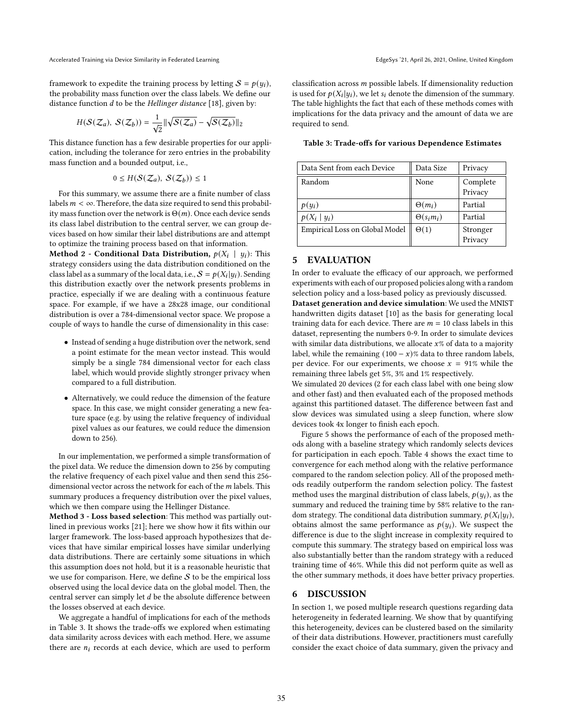Accelerated Training via Device Similarity in Federated Learning **EdgeSys** '21, April 26, 2021, Online, United Kingdom

framework to expedite the training process by letting  $S = p(y_i)$ , the probability mass function over the class labels. We define our distance function  $d$  to be the Hellinger distance [\[18\]](#page-5-24), given by:

$$
H(\mathcal{S}(\mathcal{Z}_a),\ \mathcal{S}(\mathcal{Z}_b)) = \frac{1}{\sqrt{2}} \|\sqrt{\mathcal{S}(\mathcal{Z}_a)} - \sqrt{\mathcal{S}(\mathcal{Z}_b)}\|_2
$$

This distance function has a few desirable properties for our application, including the tolerance for zero entries in the probability mass function and a bounded output, i.e.,

$$
0 \leq H(\mathcal{S}(\mathcal{Z}_a), \ \mathcal{S}(\mathcal{Z}_b)) \leq 1
$$

For this summary, we assume there are a finite number of class labels  $m < \infty$ . Therefore, the data size required to send this probability mass function over the network is  $\Theta(m)$ . Once each device sends its class label distribution to the central server, we can group devices based on how similar their label distributions are and attempt to optimize the training process based on that information.

Method 2 - Conditional Data Distribution,  $p(X_i \mid y_i)$ : This strategy considers using the data distribution conditioned on the class label as a summary of the local data, i.e.,  $S = p(X_i|y_i)$ . Sending this distribution exactly over the network presents problems in practice, especially if we are dealing with a continuous feature space. For example, if we have a 28x28 image, our conditional distribution is over a 784-dimensional vector space. We propose a couple of ways to handle the curse of dimensionality in this case:

- Instead of sending a huge distribution over the network, send a point estimate for the mean vector instead. This would simply be a single 784 dimensional vector for each class label, which would provide slightly stronger privacy when compared to a full distribution.
- Alternatively, we could reduce the dimension of the feature space. In this case, we might consider generating a new feature space (e.g. by using the relative frequency of individual pixel values as our features, we could reduce the dimension down to 256).

In our implementation, we performed a simple transformation of the pixel data. We reduce the dimension down to 256 by computing the relative frequency of each pixel value and then send this 256 dimensional vector across the network for each of the  $m$  labels. This summary produces a frequency distribution over the pixel values, which we then compare using the Hellinger Distance.

Method 3 - Loss based selection: This method was partially outlined in previous works [\[21\]](#page-5-18); here we show how it fits within our larger framework. The loss-based approach hypothesizes that devices that have similar empirical losses have similar underlying data distributions. There are certainly some situations in which this assumption does not hold, but it is a reasonable heuristic that we use for comparison. Here, we define  $S$  to be the empirical loss observed using the local device data on the global model. Then, the central server can simply let  $d$  be the absolute difference between the losses observed at each device.

We aggregate a handful of implications for each of the methods in Table [3.](#page-4-0) It shows the trade-offs we explored when estimating data similarity across devices with each method. Here, we assume there are  $n_i$  records at each device, which are used to perform

classification across  $m$  possible labels. If dimensionality reduction is used for  $p(X_i|y_i)$ , we let  $s_i$  denote the dimension of the summary. The table highlights the fact that each of these methods comes with implications for the data privacy and the amount of data we are required to send.

| Data Sent from each Device     | Data Size         | Privacy             |
|--------------------------------|-------------------|---------------------|
| Random                         | None              | Complete<br>Privacy |
| $p(y_i)$                       | $\Theta(m_i)$     | Partial             |
| $p(X_i   y_i)$                 | $\Theta(s_i m_i)$ | Partial             |
| Empirical Loss on Global Model | $\Theta(1)$       | Stronger<br>Privacy |

<span id="page-4-0"></span>Table 3: Trade-offs for various Dependence Estimates

## 5 EVALUATION

In order to evaluate the efficacy of our approach, we performed experiments with each of our proposed policies along with a random selection policy and a loss-based policy as previously discussed.

Dataset generation and device simulation: We used the MNIST handwritten digits dataset [\[10\]](#page-5-20) as the basis for generating local training data for each device. There are  $m = 10$  class labels in this dataset, representing the numbers 0-9. In order to simulate devices with similar data distributions, we allocate  $x$ % of data to a majority label, while the remaining  $(100 - x)$ % data to three random labels, per device. For our experiments, we choose  $x = 91\%$  while the remaining three labels get 5%, 3% and 1% respectively.

We simulated 20 devices (2 for each class label with one being slow and other fast) and then evaluated each of the proposed methods against this partitioned dataset. The difference between fast and slow devices was simulated using a sleep function, where slow devices took 4x longer to finish each epoch.

Figure [5](#page-5-25) shows the performance of each of the proposed methods along with a baseline strategy which randomly selects devices for participation in each epoch. Table [4](#page-5-26) shows the exact time to convergence for each method along with the relative performance compared to the random selection policy. All of the proposed methods readily outperform the random selection policy. The fastest method uses the marginal distribution of class labels,  $p(y_i)$ , as the summary and reduced the training time by 58% relative to the random strategy. The conditional data distribution summary,  $p(X_i|y_i)$ , obtains almost the same performance as  $p(y_i)$ . We suspect the difference is due to the slight increase in complexity required to compute this summary. The strategy based on empirical loss was also substantially better than the random strategy with a reduced training time of 46%. While this did not perform quite as well as the other summary methods, it does have better privacy properties.

#### 6 DISCUSSION

In section [1,](#page-0-0) we posed multiple research questions regarding data heterogeneity in federated learning. We show that by quantifying this heterogeneity, devices can be clustered based on the similarity of their data distributions. However, practitioners must carefully consider the exact choice of data summary, given the privacy and